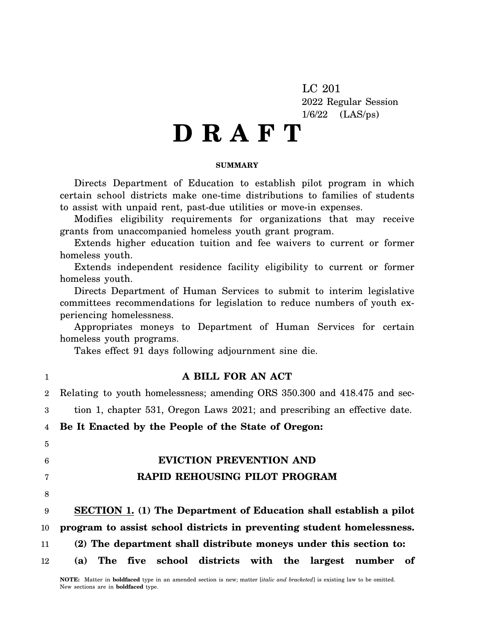LC 201 2022 Regular Session 1/6/22 (LAS/ps)

# **D R A F T**

#### **SUMMARY**

Directs Department of Education to establish pilot program in which certain school districts make one-time distributions to families of students to assist with unpaid rent, past-due utilities or move-in expenses.

Modifies eligibility requirements for organizations that may receive grants from unaccompanied homeless youth grant program.

Extends higher education tuition and fee waivers to current or former homeless youth.

Extends independent residence facility eligibility to current or former homeless youth.

Directs Department of Human Services to submit to interim legislative committees recommendations for legislation to reduce numbers of youth experiencing homelessness.

Appropriates moneys to Department of Human Services for certain homeless youth programs.

Takes effect 91 days following adjournment sine die.

| 1              | A BILL FOR AN ACT                                                         |
|----------------|---------------------------------------------------------------------------|
| $\overline{2}$ | Relating to youth homelessness; amending ORS 350.300 and 418.475 and sec- |
| 3              | tion 1, chapter 531, Oregon Laws 2021; and prescribing an effective date. |
| 4              | Be It Enacted by the People of the State of Oregon:                       |
| 5              |                                                                           |
| 6              | <b>EVICTION PREVENTION AND</b>                                            |
| $\overline{7}$ | RAPID REHOUSING PILOT PROGRAM                                             |
| 8              |                                                                           |
| 9              | <b>SECTION 1.</b> (1) The Department of Education shall establish a pilot |
| 10             | program to assist school districts in preventing student homelessness.    |
| 11             | (2) The department shall distribute moneys under this section to:         |
| 12             | The five school districts with the largest number<br>- of<br>(a)          |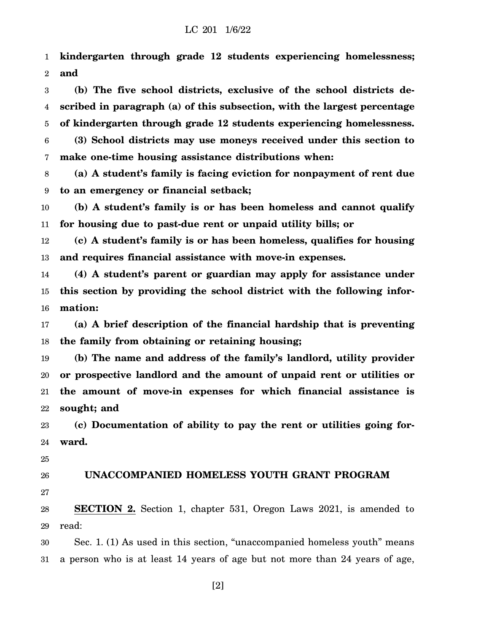1 2 **kindergarten through grade 12 students experiencing homelessness; and**

3 4 5 6 7 **(b) The five school districts, exclusive of the school districts described in paragraph (a) of this subsection, with the largest percentage of kindergarten through grade 12 students experiencing homelessness. (3) School districts may use moneys received under this section to make one-time housing assistance distributions when:**

8 9 **(a) A student's family is facing eviction for nonpayment of rent due to an emergency or financial setback;**

10 11 **(b) A student's family is or has been homeless and cannot qualify for housing due to past-due rent or unpaid utility bills; or**

12 13 **(c) A student's family is or has been homeless, qualifies for housing and requires financial assistance with move-in expenses.**

14 15 16 **(4) A student's parent or guardian may apply for assistance under this section by providing the school district with the following information:**

17 18 **(a) A brief description of the financial hardship that is preventing the family from obtaining or retaining housing;**

19 20 21 22 **(b) The name and address of the family's landlord, utility provider or prospective landlord and the amount of unpaid rent or utilities or the amount of move-in expenses for which financial assistance is sought; and**

23 24 **(c) Documentation of ability to pay the rent or utilities going forward.**

25

26 27 **UNACCOMPANIED HOMELESS YOUTH GRANT PROGRAM**

28 29 **SECTION 2.** Section 1, chapter 531, Oregon Laws 2021, is amended to read:

30 31 Sec. 1. (1) As used in this section, "unaccompanied homeless youth" means a person who is at least 14 years of age but not more than 24 years of age,

[2]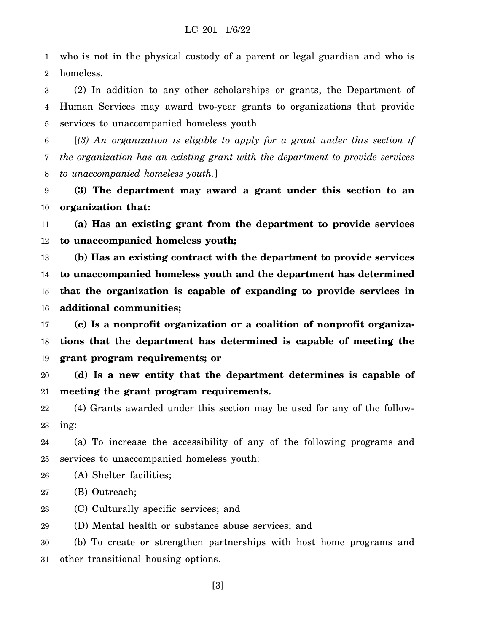1 2 who is not in the physical custody of a parent or legal guardian and who is homeless.

3 4 5 (2) In addition to any other scholarships or grants, the Department of Human Services may award two-year grants to organizations that provide services to unaccompanied homeless youth.

6 7 8 [*(3) An organization is eligible to apply for a grant under this section if the organization has an existing grant with the department to provide services to unaccompanied homeless youth.*]

9 10 **(3) The department may award a grant under this section to an organization that:**

11 12 **(a) Has an existing grant from the department to provide services to unaccompanied homeless youth;**

13 14 15 16 **(b) Has an existing contract with the department to provide services to unaccompanied homeless youth and the department has determined that the organization is capable of expanding to provide services in additional communities;**

17 18 19 **(c) Is a nonprofit organization or a coalition of nonprofit organizations that the department has determined is capable of meeting the grant program requirements; or**

20 21 **(d) Is a new entity that the department determines is capable of meeting the grant program requirements.**

22 23 (4) Grants awarded under this section may be used for any of the following:

24 25 (a) To increase the accessibility of any of the following programs and services to unaccompanied homeless youth:

26 (A) Shelter facilities;

- 27 (B) Outreach;
- 28 (C) Culturally specific services; and

29 (D) Mental health or substance abuse services; and

30 31 (b) To create or strengthen partnerships with host home programs and other transitional housing options.

[3]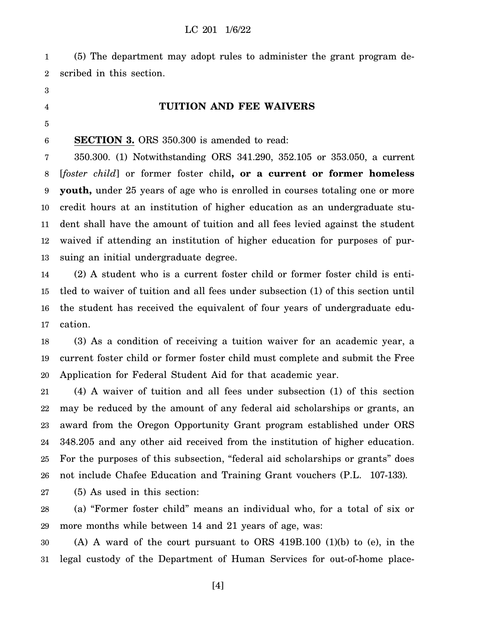1 2 (5) The department may adopt rules to administer the grant program described in this section.

- 3
- 4

# **TUITION AND FEE WAIVERS**

5

6

**SECTION 3.** ORS 350.300 is amended to read:

7 8 9 10 11 12 13 350.300. (1) Notwithstanding ORS 341.290, 352.105 or 353.050, a current [*foster child*] or former foster child**, or a current or former homeless youth,** under 25 years of age who is enrolled in courses totaling one or more credit hours at an institution of higher education as an undergraduate student shall have the amount of tuition and all fees levied against the student waived if attending an institution of higher education for purposes of pursuing an initial undergraduate degree.

14 15 16 17 (2) A student who is a current foster child or former foster child is entitled to waiver of tuition and all fees under subsection (1) of this section until the student has received the equivalent of four years of undergraduate education.

18 19 20 (3) As a condition of receiving a tuition waiver for an academic year, a current foster child or former foster child must complete and submit the Free Application for Federal Student Aid for that academic year.

21 22 23 24 25 26 (4) A waiver of tuition and all fees under subsection (1) of this section may be reduced by the amount of any federal aid scholarships or grants, an award from the Oregon Opportunity Grant program established under ORS 348.205 and any other aid received from the institution of higher education. For the purposes of this subsection, "federal aid scholarships or grants" does not include Chafee Education and Training Grant vouchers (P.L. 107-133).

27 (5) As used in this section:

28 29 (a) "Former foster child" means an individual who, for a total of six or more months while between 14 and 21 years of age, was:

30 31 (A) A ward of the court pursuant to ORS 419B.100 (1)(b) to (e), in the legal custody of the Department of Human Services for out-of-home place-

[4]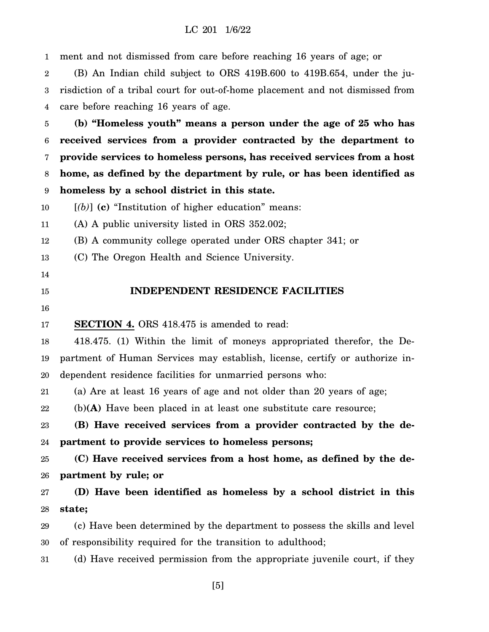#### LC 201 1/6/22

1 ment and not dismissed from care before reaching 16 years of age; or

2 3 4 (B) An Indian child subject to ORS 419B.600 to 419B.654, under the jurisdiction of a tribal court for out-of-home placement and not dismissed from care before reaching 16 years of age.

5 6 7 8 9 **(b) "Homeless youth" means a person under the age of 25 who has received services from a provider contracted by the department to provide services to homeless persons, has received services from a host home, as defined by the department by rule, or has been identified as homeless by a school district in this state.**

10 [*(b)*] **(c)** "Institution of higher education" means:

11 (A) A public university listed in ORS 352.002;

12 (B) A community college operated under ORS chapter 341; or

13 (C) The Oregon Health and Science University.

- 14
- 15

## **INDEPENDENT RESIDENCE FACILITIES**

16

17 **SECTION 4.** ORS 418.475 is amended to read:

18 19 20 418.475. (1) Within the limit of moneys appropriated therefor, the Department of Human Services may establish, license, certify or authorize independent residence facilities for unmarried persons who:

21 (a) Are at least 16 years of age and not older than 20 years of age;

22 (b)**(A)** Have been placed in at least one substitute care resource;

23 24 **(B) Have received services from a provider contracted by the department to provide services to homeless persons;**

25 26 **(C) Have received services from a host home, as defined by the department by rule; or**

27 28 **(D) Have been identified as homeless by a school district in this state;**

29 30 (c) Have been determined by the department to possess the skills and level of responsibility required for the transition to adulthood;

31 (d) Have received permission from the appropriate juvenile court, if they

[5]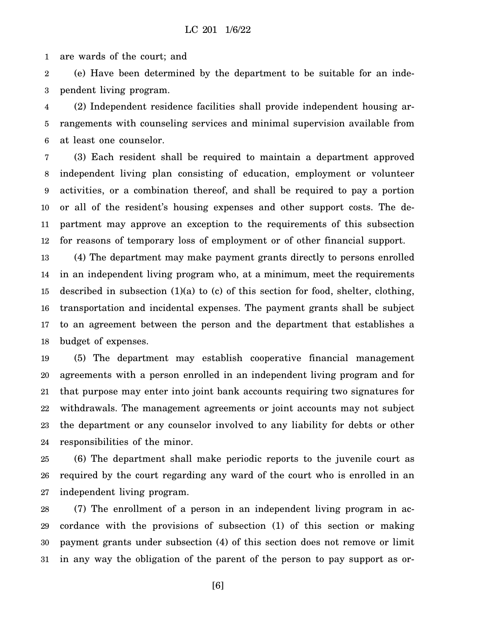1 are wards of the court; and

2 3 (e) Have been determined by the department to be suitable for an independent living program.

4 5 6 (2) Independent residence facilities shall provide independent housing arrangements with counseling services and minimal supervision available from at least one counselor.

7 8 9 10 11 12 (3) Each resident shall be required to maintain a department approved independent living plan consisting of education, employment or volunteer activities, or a combination thereof, and shall be required to pay a portion or all of the resident's housing expenses and other support costs. The department may approve an exception to the requirements of this subsection for reasons of temporary loss of employment or of other financial support.

13 14 15 16 17 18 (4) The department may make payment grants directly to persons enrolled in an independent living program who, at a minimum, meet the requirements described in subsection (1)(a) to (c) of this section for food, shelter, clothing, transportation and incidental expenses. The payment grants shall be subject to an agreement between the person and the department that establishes a budget of expenses.

19 20 21 22 23 24 (5) The department may establish cooperative financial management agreements with a person enrolled in an independent living program and for that purpose may enter into joint bank accounts requiring two signatures for withdrawals. The management agreements or joint accounts may not subject the department or any counselor involved to any liability for debts or other responsibilities of the minor.

25 26 27 (6) The department shall make periodic reports to the juvenile court as required by the court regarding any ward of the court who is enrolled in an independent living program.

28 29 30 31 (7) The enrollment of a person in an independent living program in accordance with the provisions of subsection (1) of this section or making payment grants under subsection (4) of this section does not remove or limit in any way the obligation of the parent of the person to pay support as or-

[6]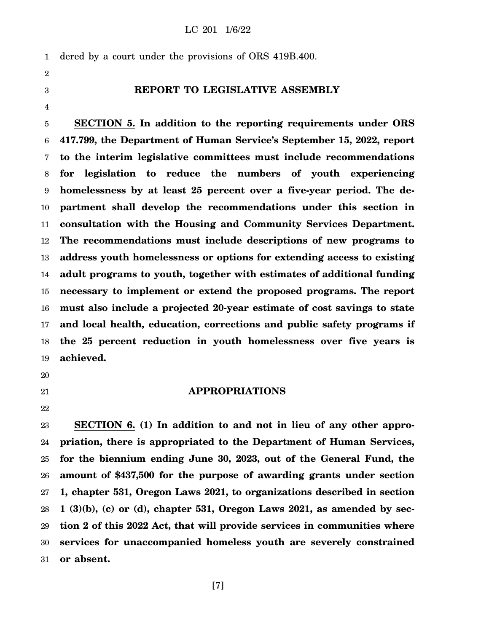#### LC 201 1/6/22

1 dered by a court under the provisions of ORS 419B.400.

2

3

4

# **REPORT TO LEGISLATIVE ASSEMBLY**

5 6 7 8 9 10 11 12 13 14 15 16 17 18 19 **SECTION 5. In addition to the reporting requirements under ORS 417.799, the Department of Human Service's September 15, 2022, report to the interim legislative committees must include recommendations for legislation to reduce the numbers of youth experiencing homelessness by at least 25 percent over a five-year period. The department shall develop the recommendations under this section in consultation with the Housing and Community Services Department. The recommendations must include descriptions of new programs to address youth homelessness or options for extending access to existing adult programs to youth, together with estimates of additional funding necessary to implement or extend the proposed programs. The report must also include a projected 20-year estimate of cost savings to state and local health, education, corrections and public safety programs if the 25 percent reduction in youth homelessness over five years is achieved.**

20

21

22

23 24 25 26 27 28 29 30 31 **SECTION 6. (1) In addition to and not in lieu of any other appropriation, there is appropriated to the Department of Human Services, for the biennium ending June 30, 2023, out of the General Fund, the amount of \$437,500 for the purpose of awarding grants under section 1, chapter 531, Oregon Laws 2021, to organizations described in section 1 (3)(b), (c) or (d), chapter 531, Oregon Laws 2021, as amended by section 2 of this 2022 Act, that will provide services in communities where services for unaccompanied homeless youth are severely constrained or absent.**

**APPROPRIATIONS**

[7]